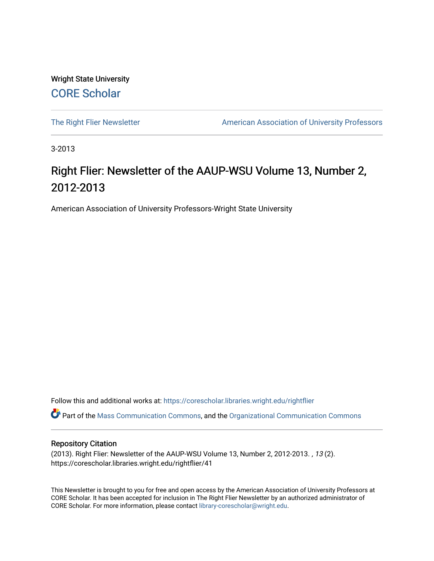Wright State University [CORE Scholar](https://corescholar.libraries.wright.edu/)

[The Right Flier Newsletter](https://corescholar.libraries.wright.edu/rightflier) **American Association of University Professors** 

3-2013

## Right Flier: Newsletter of the AAUP-WSU Volume 13, Number 2, 2012-2013

American Association of University Professors-Wright State University

Follow this and additional works at: [https://corescholar.libraries.wright.edu/rightflier](https://corescholar.libraries.wright.edu/rightflier?utm_source=corescholar.libraries.wright.edu%2Frightflier%2F41&utm_medium=PDF&utm_campaign=PDFCoverPages) 

Part of the [Mass Communication Commons,](http://network.bepress.com/hgg/discipline/334?utm_source=corescholar.libraries.wright.edu%2Frightflier%2F41&utm_medium=PDF&utm_campaign=PDFCoverPages) and the [Organizational Communication Commons](http://network.bepress.com/hgg/discipline/335?utm_source=corescholar.libraries.wright.edu%2Frightflier%2F41&utm_medium=PDF&utm_campaign=PDFCoverPages) 

#### Repository Citation

(2013). Right Flier: Newsletter of the AAUP-WSU Volume 13, Number 2, 2012-2013. , 13 (2). https://corescholar.libraries.wright.edu/rightflier/41

This Newsletter is brought to you for free and open access by the American Association of University Professors at CORE Scholar. It has been accepted for inclusion in The Right Flier Newsletter by an authorized administrator of CORE Scholar. For more information, please contact [library-corescholar@wright.edu](mailto:library-corescholar@wright.edu).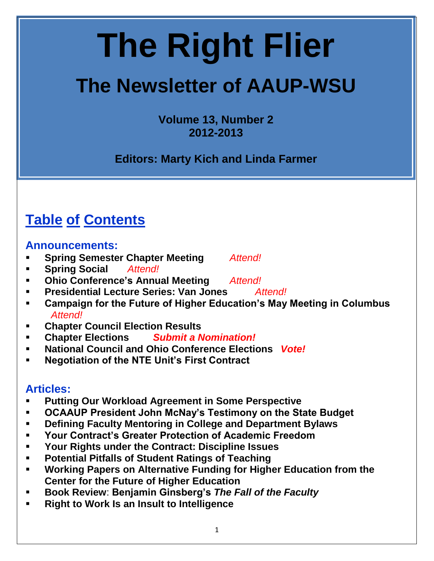# **The Right Flier**

## **The Newsletter of AAUP-WSU**

**Volume 13, Number 2 2012-2013**

**Editors: Marty Kich and Linda Farmer**

## **Table of Contents**

#### **Announcements:**

- **Spring Semester Chapter Meeting** *Attend!*
- **Spring Social** *Attend!*
- **Ohio Conference's Annual Meeting** *Attend!*
- **Presidential Lecture Series: Van Jones** *Attend!*
- **Campaign for the Future of Higher Education's May Meeting in Columbus** *Attend!*
- **Chapter Council Election Results**
- **Chapter Elections** *Submit a Nomination!*
- **National Council and Ohio Conference Elections** *Vote!*
- **Negotiation of the NTE Unit's First Contract**

#### **Articles:**

- **Putting Our Workload Agreement in Some Perspective**
- **OCAAUP President John McNay's Testimony on the State Budget**
- **Defining Faculty Mentoring in College and Department Bylaws**
- **Your Contract's Greater Protection of Academic Freedom**
- **Your Rights under the Contract: Discipline Issues**
- **Potential Pitfalls of Student Ratings of Teaching**
- **Working Papers on Alternative Funding for Higher Education from the Center for the Future of Higher Education**
- **Book Review**: **Benjamin Ginsberg's** *The Fall of the Faculty*
- **Right to Work Is an Insult to Intelligence**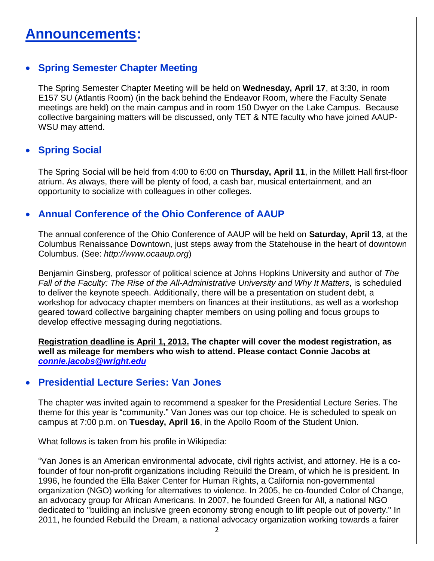### **Announcements:**

#### **Spring Semester Chapter Meeting**

The Spring Semester Chapter Meeting will be held on **Wednesday, April 17**, at 3:30, in room E157 SU (Atlantis Room) (in the back behind the Endeavor Room, where the Faculty Senate meetings are held) on the main campus and in room 150 Dwyer on the Lake Campus. Because collective bargaining matters will be discussed, only TET & NTE faculty who have joined AAUP-WSU may attend.

#### **• Spring Social**

The Spring Social will be held from 4:00 to 6:00 on **Thursday, April 11**, in the Millett Hall first-floor atrium. As always, there will be plenty of food, a cash bar, musical entertainment, and an opportunity to socialize with colleagues in other colleges.

#### **Annual Conference of the Ohio Conference of AAUP**

The annual conference of the Ohio Conference of AAUP will be held on **Saturday, April 13**, at the Columbus Renaissance Downtown, just steps away from the Statehouse in the heart of downtown Columbus. (See: *http://www.ocaaup.org*)

Benjamin Ginsberg, professor of political science at Johns Hopkins University and author of *The Fall of the Faculty: The Rise of the All-Administrative University and Why It Matters*, is scheduled to deliver the keynote speech. Additionally, there will be a presentation on student debt, a workshop for advocacy chapter members on finances at their institutions, as well as a workshop geared toward collective bargaining chapter members on using polling and focus groups to develop effective messaging during negotiations.

**Registration deadline is April 1, 2013. The chapter will cover the modest registration, as well as mileage for members who wish to attend. Please contact Connie Jacobs at** *[connie.jacobs@wright.edu](mailto:connie.jacobs@wright.edu)*

#### **Presidential Lecture Series: Van Jones**

The chapter was invited again to recommend a speaker for the Presidential Lecture Series. The theme for this year is "community." Van Jones was our top choice. He is scheduled to speak on campus at 7:00 p.m. on **Tuesday, April 16**, in the Apollo Room of the Student Union.

What follows is taken from his profile in Wikipedia:

"Van Jones is an American environmental advocate, [civil rights](http://en.wikipedia.org/wiki/Civil_rights) activist, and attorney. He is a cofounder of four non-profit organizations including [Rebuild the Dream,](http://en.wikipedia.org/wiki/Rebuild_the_Dream) of which he is president. In 1996, he founded the [Ella Baker Center for Human Rights,](http://en.wikipedia.org/wiki/Ella_Baker_Center_for_Human_Rights) a California non-governmental organization (NGO) working for alternatives to violence. In 2005, he co-founded [Color of Change,](http://en.wikipedia.org/wiki/Color_of_Change) an [advocacy group](http://en.wikipedia.org/wiki/Interest_group) for African Americans. In 2007, he founded [Green for All,](http://en.wikipedia.org/wiki/Green_for_All) a national NGO dedicated to "building an inclusive green economy strong enough to lift people out of poverty." In 2011, he founded Rebuild the Dream, a national advocacy organization working towards a fairer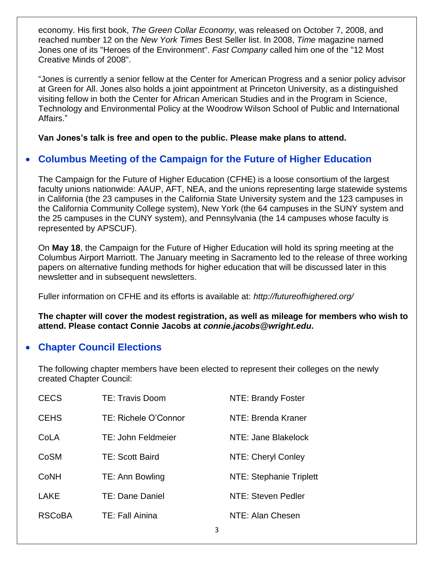economy. His first book, *[The Green Collar Economy](http://en.wikipedia.org/wiki/The_Green_Collar_Economy)*, was released on October 7, 2008, and reached number 12 on the *[New York Times](http://en.wikipedia.org/wiki/The_New_York_Times)* [Best Seller list.](http://en.wikipedia.org/wiki/New_York_Times_Best_Seller_list) In 2008, *[Time](http://en.wikipedia.org/wiki/Time_(magazine))* magazine named Jones one of its ["Heroes of the Environment"](http://en.wikipedia.org/wiki/Heroes_of_the_Environment_(2008)). *[Fast Company](http://en.wikipedia.org/wiki/Fast_Company_(magazine))* called him one of the "12 Most Creative Minds of 2008".

"Jones is currently a senior fellow at the [Center for American Progress](http://en.wikipedia.org/wiki/Center_for_American_Progress) and a senior policy advisor at [Green for All.](http://en.wikipedia.org/wiki/Green_for_All) Jones also holds a joint appointment at [Princeton University,](http://en.wikipedia.org/wiki/Princeton_University) as a distinguished visiting fellow in both the Center for African American Studies and in the Program in Science, Technology and Environmental Policy at the [Woodrow Wilson School of Public and International](http://en.wikipedia.org/wiki/Woodrow_Wilson_School_of_Public_and_International_Affairs)  [Affairs.](http://en.wikipedia.org/wiki/Woodrow_Wilson_School_of_Public_and_International_Affairs)"

**Van Jones's talk is free and open to the public. Please make plans to attend.**

#### **Columbus Meeting of the Campaign for the Future of Higher Education**

The Campaign for the Future of Higher Education (CFHE) is a loose consortium of the largest faculty unions nationwide: AAUP, AFT, NEA, and the unions representing large statewide systems in California (the 23 campuses in the California State University system and the 123 campuses in the California Community College system), New York (the 64 campuses in the SUNY system and the 25 campuses in the CUNY system), and Pennsylvania (the 14 campuses whose faculty is represented by APSCUF).

On **May 18**, the Campaign for the Future of Higher Education will hold its spring meeting at the Columbus Airport Marriott. The January meeting in Sacramento led to the release of three working papers on alternative funding methods for higher education that will be discussed later in this newsletter and in subsequent newsletters.

Fuller information on CFHE and its efforts is available at: *http://futureofhighered.org/*

**The chapter will cover the modest registration, as well as mileage for members who wish to attend. Please contact Connie Jacobs at** *connie.jacobs@wright.edu***.**

#### **Chapter Council Elections**

The following chapter members have been elected to represent their colleges on the newly created Chapter Council:

| <b>CECS</b>   | TE: Travis Doom           | NTE: Brandy Foster             |
|---------------|---------------------------|--------------------------------|
| <b>CEHS</b>   | TE: Richele O'Connor      | NTE: Brenda Kraner             |
| CoLA          | <b>TE: John Feldmeier</b> | NTE: Jane Blakelock            |
| CoSM          | TE: Scott Baird           | NTE: Cheryl Conley             |
| CoNH          | TE: Ann Bowling           | <b>NTE: Stephanie Triplett</b> |
| <b>LAKE</b>   | TE: Dane Daniel           | NTE: Steven Pedler             |
| <b>RSCoBA</b> | TE: Fall Ainina           | NTE: Alan Chesen               |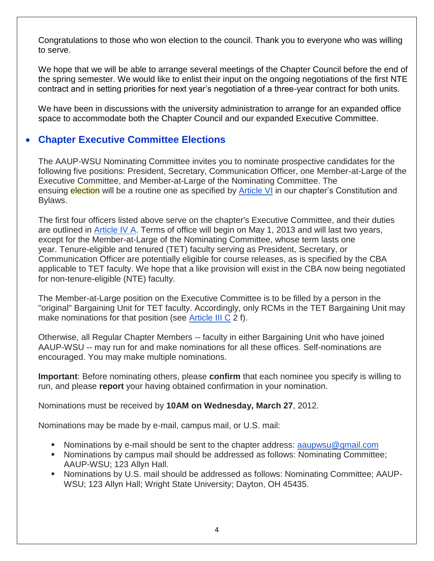Congratulations to those who won election to the council. Thank you to everyone who was willing to serve.

We hope that we will be able to arrange several meetings of the Chapter Council before the end of the spring semester. We would like to enlist their input on the ongoing negotiations of the first NTE contract and in setting priorities for next year's negotiation of a three-year contract for both units.

We have been in discussions with the university administration to arrange for an expanded office space to accommodate both the Chapter Council and our expanded Executive Committee.

#### **Chapter Executive Committee Elections**

The AAUP-WSU Nominating Committee invites you to nominate prospective candidates for the following five positions: President, Secretary, Communication Officer, one Member-at-Large of the Executive Committee, and Member-at-Large of the Nominating Committee. The ensuing election will be a routine one as specified by **[Article VI](http://www.wright.edu/administration/aaup/Chapter_Bylaws.html#art6)** in our chapter's Constitution and Bylaws.

The first four officers listed above serve on the chapter's Executive Committee, and their duties are outlined in **[Article IV A.](http://www.wright.edu/administration/aaup/Chapter_Bylaws.html#art4A)** Terms of office will begin on May 1, 2013 and will last two years, except for the Member-at-Large of the Nominating Committee, whose term lasts one year. Tenure-eligible and tenured (TET) faculty serving as President, Secretary, or Communication Officer are potentially eligible for course releases, as is specified by the CBA applicable to TET faculty. We hope that a like provision will exist in the CBA now being negotiated for non-tenure-eligible (NTE) faculty.

The Member-at-Large position on the Executive Committee is to be filled by a person in the "original" Bargaining Unit for TET faculty. Accordingly, only RCMs in the TET Bargaining Unit may make nominations for that position (see [Article III C](http://www.wright.edu/administration/aaup/Chapter_Bylaws.html#art3C) 2 f).

Otherwise, all Regular Chapter Members -- faculty in either Bargaining Unit who have joined AAUP-WSU -- may run for and make nominations for all these offices. Self-nominations are encouraged. You may make multiple nominations.

**Important**: Before nominating others, please **confirm** that each nominee you specify is willing to run, and please **report** your having obtained confirmation in your nomination.

Nominations must be received by **10AM on Wednesday, March 27**, 2012.

Nominations may be made by e-mail, campus mail, or U.S. mail:

- Nominations by e-mail should be sent to the chapter address:  $a$  aupwsu @gmail.com
- Nominations by campus mail should be addressed as follows: Nominating Committee; AAUP-WSU; 123 Allyn Hall.
- Nominations by U.S. mail should be addressed as follows: Nominating Committee; AAUP-WSU; 123 Allyn Hall; Wright State University; Dayton, OH 45435.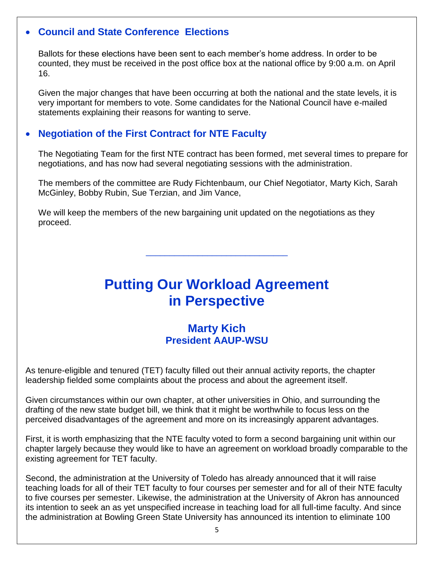#### **Council and State Conference Elections**

Ballots for these elections have been sent to each member's home address. In order to be counted, they must be received in the post office box at the national office by 9:00 a.m. on April 16.

Given the major changes that have been occurring at both the national and the state levels, it is very important for members to vote. Some candidates for the National Council have e-mailed statements explaining their reasons for wanting to serve.

#### **Negotiation of the First Contract for NTE Faculty**

The Negotiating Team for the first NTE contract has been formed, met several times to prepare for negotiations, and has now had several negotiating sessions with the administration.

The members of the committee are Rudy Fichtenbaum, our Chief Negotiator, Marty Kich, Sarah McGinley, Bobby Rubin, Sue Terzian, and Jim Vance,

We will keep the members of the new bargaining unit updated on the negotiations as they proceed.

## **Putting Our Workload Agreement in Perspective**

\_\_\_\_\_\_\_\_\_\_\_\_\_\_\_\_\_\_\_\_\_\_\_\_\_\_\_\_\_\_

#### **Marty Kich President AAUP-WSU**

As tenure-eligible and tenured (TET) faculty filled out their annual activity reports, the chapter leadership fielded some complaints about the process and about the agreement itself.

Given circumstances within our own chapter, at other universities in Ohio, and surrounding the drafting of the new state budget bill, we think that it might be worthwhile to focus less on the perceived disadvantages of the agreement and more on its increasingly apparent advantages.

First, it is worth emphasizing that the NTE faculty voted to form a second bargaining unit within our chapter largely because they would like to have an agreement on workload broadly comparable to the existing agreement for TET faculty.

Second, the administration at the University of Toledo has already announced that it will raise teaching loads for all of their TET faculty to four courses per semester and for all of their NTE faculty to five courses per semester. Likewise, the administration at the University of Akron has announced its intention to seek an as yet unspecified increase in teaching load for all full-time faculty. And since the administration at Bowling Green State University has announced its intention to eliminate 100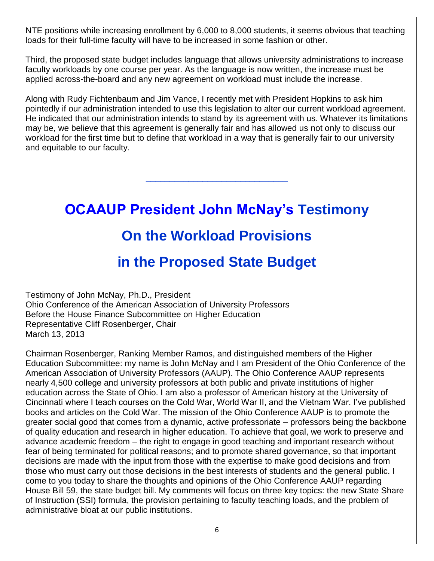NTE positions while increasing enrollment by 6,000 to 8,000 students, it seems obvious that teaching loads for their full-time faculty will have to be increased in some fashion or other.

Third, the proposed state budget includes language that allows university administrations to increase faculty workloads by one course per year. As the language is now written, the increase must be applied across-the-board and any new agreement on workload must include the increase.

Along with Rudy Fichtenbaum and Jim Vance, I recently met with President Hopkins to ask him pointedly if our administration intended to use this legislation to alter our current workload agreement. He indicated that our administration intends to stand by its agreement with us. Whatever its limitations may be, we believe that this agreement is generally fair and has allowed us not only to discuss our workload for the first time but to define that workload in a way that is generally fair to our university and equitable to our faculty.

\_\_\_\_\_\_\_\_\_\_\_\_\_\_\_\_\_\_\_\_\_\_\_\_\_\_\_\_\_\_

**OCAAUP President John McNay's Testimony On the Workload Provisions**

## **in the Proposed State Budget**

Testimony of John McNay, Ph.D., President Ohio Conference of the American Association of University Professors Before the House Finance Subcommittee on Higher Education Representative Cliff Rosenberger, Chair March 13, 2013

Chairman Rosenberger, Ranking Member Ramos, and distinguished members of the Higher Education Subcommittee: my name is John McNay and I am President of the Ohio Conference of the American Association of University Professors (AAUP). The Ohio Conference AAUP represents nearly 4,500 college and university professors at both public and private institutions of higher education across the State of Ohio. I am also a professor of American history at the University of Cincinnati where I teach courses on the Cold War, World War II, and the Vietnam War. I've published books and articles on the Cold War. The mission of the Ohio Conference AAUP is to promote the greater social good that comes from a dynamic, active professoriate – professors being the backbone of quality education and research in higher education. To achieve that goal, we work to preserve and advance academic freedom – the right to engage in good teaching and important research without fear of being terminated for political reasons; and to promote shared governance, so that important decisions are made with the input from those with the expertise to make good decisions and from those who must carry out those decisions in the best interests of students and the general public. I come to you today to share the thoughts and opinions of the Ohio Conference AAUP regarding House Bill 59, the state budget bill. My comments will focus on three key topics: the new State Share of Instruction (SSI) formula, the provision pertaining to faculty teaching loads, and the problem of administrative bloat at our public institutions.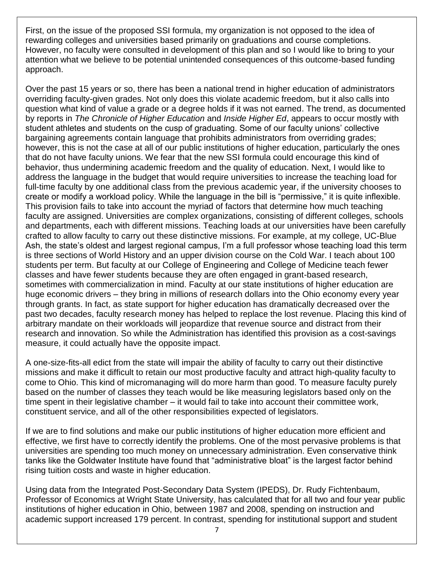First, on the issue of the proposed SSI formula, my organization is not opposed to the idea of rewarding colleges and universities based primarily on graduations and course completions. However, no faculty were consulted in development of this plan and so I would like to bring to your attention what we believe to be potential unintended consequences of this outcome-based funding approach.

Over the past 15 years or so, there has been a national trend in higher education of administrators overriding faculty-given grades. Not only does this violate academic freedom, but it also calls into question what kind of value a grade or a degree holds if it was not earned. The trend, as documented by reports in *The Chronicle of Higher Education* and *Inside Higher Ed*, appears to occur mostly with student athletes and students on the cusp of graduating. Some of our faculty unions' collective bargaining agreements contain language that prohibits administrators from overriding grades; however, this is not the case at all of our public institutions of higher education, particularly the ones that do not have faculty unions. We fear that the new SSI formula could encourage this kind of behavior, thus undermining academic freedom and the quality of education. Next, I would like to address the language in the budget that would require universities to increase the teaching load for full-time faculty by one additional class from the previous academic year, if the university chooses to create or modify a workload policy. While the language in the bill is "permissive," it is quite inflexible. This provision fails to take into account the myriad of factors that determine how much teaching faculty are assigned. Universities are complex organizations, consisting of different colleges, schools and departments, each with different missions. Teaching loads at our universities have been carefully crafted to allow faculty to carry out these distinctive missions. For example, at my college, UC-Blue Ash, the state's oldest and largest regional campus, I'm a full professor whose teaching load this term is three sections of World History and an upper division course on the Cold War. I teach about 100 students per term. But faculty at our College of Engineering and College of Medicine teach fewer classes and have fewer students because they are often engaged in grant-based research, sometimes with commercialization in mind. Faculty at our state institutions of higher education are huge economic drivers – they bring in millions of research dollars into the Ohio economy every year through grants. In fact, as state support for higher education has dramatically decreased over the past two decades, faculty research money has helped to replace the lost revenue. Placing this kind of arbitrary mandate on their workloads will jeopardize that revenue source and distract from their research and innovation. So while the Administration has identified this provision as a cost-savings measure, it could actually have the opposite impact.

A one-size-fits-all edict from the state will impair the ability of faculty to carry out their distinctive missions and make it difficult to retain our most productive faculty and attract high-quality faculty to come to Ohio. This kind of micromanaging will do more harm than good. To measure faculty purely based on the number of classes they teach would be like measuring legislators based only on the time spent in their legislative chamber – it would fail to take into account their committee work, constituent service, and all of the other responsibilities expected of legislators.

If we are to find solutions and make our public institutions of higher education more efficient and effective, we first have to correctly identify the problems. One of the most pervasive problems is that universities are spending too much money on unnecessary administration. Even conservative think tanks like the Goldwater Institute have found that "administrative bloat" is the largest factor behind rising tuition costs and waste in higher education.

Using data from the Integrated Post-Secondary Data System (IPEDS), Dr. Rudy Fichtenbaum, Professor of Economics at Wright State University, has calculated that for all two and four year public institutions of higher education in Ohio, between 1987 and 2008, spending on instruction and academic support increased 179 percent. In contrast, spending for institutional support and student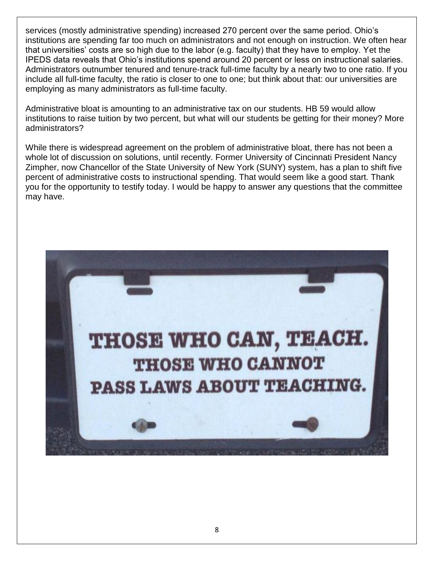services (mostly administrative spending) increased 270 percent over the same period. Ohio's institutions are spending far too much on administrators and not enough on instruction. We often hear that universities' costs are so high due to the labor (e.g. faculty) that they have to employ. Yet the IPEDS data reveals that Ohio's institutions spend around 20 percent or less on instructional salaries. Administrators outnumber tenured and tenure-track full-time faculty by a nearly two to one ratio. If you include all full-time faculty, the ratio is closer to one to one; but think about that: our universities are employing as many administrators as full-time faculty.

Administrative bloat is amounting to an administrative tax on our students. HB 59 would allow institutions to raise tuition by two percent, but what will our students be getting for their money? More administrators?

While there is widespread agreement on the problem of administrative bloat, there has not been a whole lot of discussion on solutions, until recently. Former University of Cincinnati President Nancy Zimpher, now Chancellor of the State University of New York (SUNY) system, has a plan to shift five percent of administrative costs to instructional spending. That would seem like a good start. Thank you for the opportunity to testify today. I would be happy to answer any questions that the committee may have.

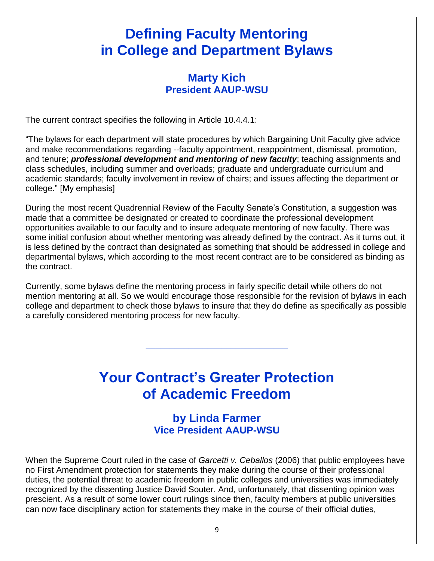## **Defining Faculty Mentoring in College and Department Bylaws**

#### **Marty Kich President AAUP-WSU**

The current contract specifies the following in Article 10.4.4.1:

"The bylaws for each department will state procedures by which Bargaining Unit Faculty give advice and make recommendations regarding --faculty appointment, reappointment, dismissal, promotion, and tenure; *professional development and mentoring of new faculty*; teaching assignments and class schedules, including summer and overloads; graduate and undergraduate curriculum and academic standards; faculty involvement in review of chairs; and issues affecting the department or college." [My emphasis]

During the most recent Quadrennial Review of the Faculty Senate's Constitution, a suggestion was made that a committee be designated or created to coordinate the professional development opportunities available to our faculty and to insure adequate mentoring of new faculty. There was some initial confusion about whether mentoring was already defined by the contract. As it turns out, it is less defined by the contract than designated as something that should be addressed in college and departmental bylaws, which according to the most recent contract are to be considered as binding as the contract.

Currently, some bylaws define the mentoring process in fairly specific detail while others do not mention mentoring at all. So we would encourage those responsible for the revision of bylaws in each college and department to check those bylaws to insure that they do define as specifically as possible a carefully considered mentoring process for new faculty.

## **Your Contract's Greater Protection of Academic Freedom**

\_\_\_\_\_\_\_\_\_\_\_\_\_\_\_\_\_\_\_\_\_\_\_\_\_\_\_\_\_\_

#### **by Linda Farmer Vice President AAUP-WSU**

When the Supreme Court ruled in the case of *Garcetti v. Ceballos* (2006) that public employees have no First Amendment protection for statements they make during the course of their professional duties, the potential threat to academic freedom in public colleges and universities was immediately recognized by the dissenting Justice David Souter. And, unfortunately, that dissenting opinion was prescient. As a result of some lower court rulings since then, faculty members at public universities can now face disciplinary action for statements they make in the course of their official duties,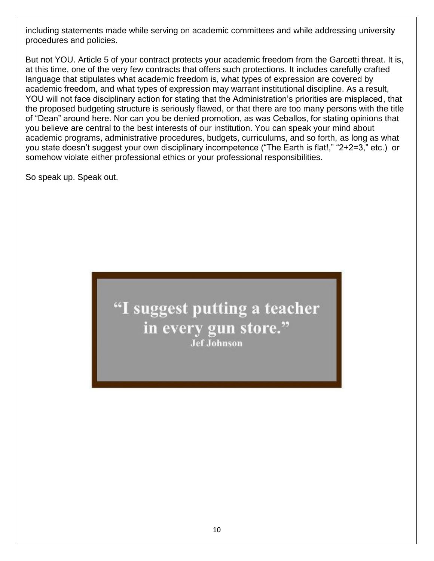including statements made while serving on academic committees and while addressing university procedures and policies.

But not YOU. Article 5 of your contract protects your academic freedom from the Garcetti threat. It is, at this time, one of the very few contracts that offers such protections. It includes carefully crafted language that stipulates what academic freedom is, what types of expression are covered by academic freedom, and what types of expression may warrant institutional discipline. As a result, YOU will not face disciplinary action for stating that the Administration's priorities are misplaced, that the proposed budgeting structure is seriously flawed, or that there are too many persons with the title of "Dean" around here. Nor can you be denied promotion, as was Ceballos, for stating opinions that you believe are central to the best interests of our institution. You can speak your mind about academic programs, administrative procedures, budgets, curriculums, and so forth, as long as what you state doesn't suggest your own disciplinary incompetence ("The Earth is flat!," "2+2=3," etc.) or somehow violate either professional ethics or your professional responsibilities.

So speak up. Speak out.

"I suggest putting a teacher in every gun store." **Jef Johnson**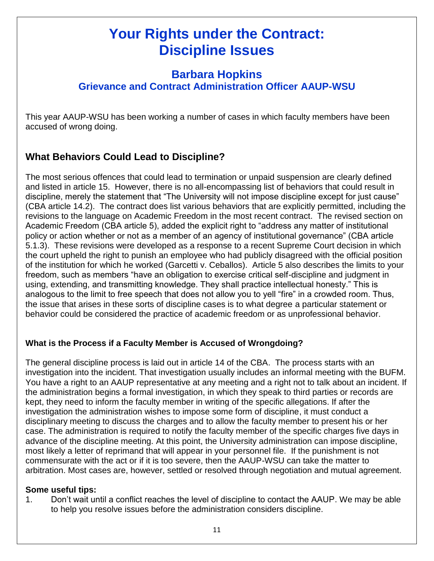## **Your Rights under the Contract: Discipline Issues**

#### **Barbara Hopkins Grievance and Contract Administration Officer AAUP-WSU**

This year AAUP-WSU has been working a number of cases in which faculty members have been accused of wrong doing.

#### **What Behaviors Could Lead to Discipline?**

The most serious offences that could lead to termination or unpaid suspension are clearly defined and listed in article 15. However, there is no all-encompassing list of behaviors that could result in discipline, merely the statement that "The University will not impose discipline except for just cause" (CBA article 14.2). The contract does list various behaviors that are explicitly permitted, including the revisions to the language on Academic Freedom in the most recent contract. The revised section on Academic Freedom (CBA article 5), added the explicit right to "address any matter of institutional policy or action whether or not as a member of an agency of institutional governance" (CBA article 5.1.3). These revisions were developed as a response to a recent Supreme Court decision in which the court upheld the right to punish an employee who had publicly disagreed with the official position of the institution for which he worked (Garcetti v. Ceballos). Article 5 also describes the limits to your freedom, such as members "have an obligation to exercise critical self-discipline and judgment in using, extending, and transmitting knowledge. They shall practice intellectual honesty." This is analogous to the limit to free speech that does not allow you to yell "fire" in a crowded room. Thus, the issue that arises in these sorts of discipline cases is to what degree a particular statement or behavior could be considered the practice of academic freedom or as unprofessional behavior.

#### **What is the Process if a Faculty Member is Accused of Wrongdoing?**

The general discipline process is laid out in article 14 of the CBA. The process starts with an investigation into the incident. That investigation usually includes an informal meeting with the BUFM. You have a right to an AAUP representative at any meeting and a right not to talk about an incident. If the administration begins a formal investigation, in which they speak to third parties or records are kept, they need to inform the faculty member in writing of the specific allegations. If after the investigation the administration wishes to impose some form of discipline, it must conduct a disciplinary meeting to discuss the charges and to allow the faculty member to present his or her case. The administration is required to notify the faculty member of the specific charges five days in advance of the discipline meeting. At this point, the University administration can impose discipline, most likely a letter of reprimand that will appear in your personnel file. If the punishment is not commensurate with the act or if it is too severe, then the AAUP-WSU can take the matter to arbitration. Most cases are, however, settled or resolved through negotiation and mutual agreement.

#### **Some useful tips:**

1. Don't wait until a conflict reaches the level of discipline to contact the AAUP. We may be able to help you resolve issues before the administration considers discipline.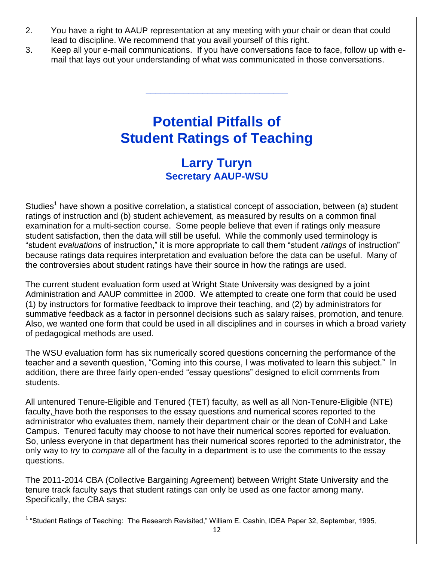- 2. You have a right to AAUP representation at any meeting with your chair or dean that could lead to discipline. We recommend that you avail yourself of this right.
- 3. Keep all your e-mail communications. If you have conversations face to face, follow up with email that lays out your understanding of what was communicated in those conversations.

\_\_\_\_\_\_\_\_\_\_\_\_\_\_\_\_\_\_\_\_\_\_\_\_\_\_\_\_\_\_

## **Potential Pitfalls of Student Ratings of Teaching**

#### **Larry Turyn Secretary AAUP-WSU**

Studies<sup>1</sup> have shown a positive correlation, a statistical concept of association, between (a) student ratings of instruction and (b) student achievement, as measured by results on a common final examination for a multi-section course. Some people believe that even if ratings only measure student satisfaction, then the data will still be useful. While the commonly used terminology is "student *evaluations* of instruction," it is more appropriate to call them "student *ratings* of instruction" because ratings data requires interpretation and evaluation before the data can be useful. Many of the controversies about student ratings have their source in how the ratings are used.

The current student evaluation form used at Wright State University was designed by a joint Administration and AAUP committee in 2000. We attempted to create one form that could be used (1) by instructors for formative feedback to improve their teaching, and (2) by administrators for summative feedback as a factor in personnel decisions such as salary raises, promotion, and tenure. Also, we wanted one form that could be used in all disciplines and in courses in which a broad variety of pedagogical methods are used.

The WSU evaluation form has six numerically scored questions concerning the performance of the teacher and a seventh question, "Coming into this course, I was motivated to learn this subject." In addition, there are three fairly open-ended "essay questions" designed to elicit comments from students.

All untenured Tenure-Eligible and Tenured (TET) faculty, as well as all Non-Tenure-Eligible (NTE) faculty, have both the responses to the essay questions and numerical scores reported to the administrator who evaluates them, namely their department chair or the dean of CoNH and Lake Campus. Tenured faculty may choose to not have their numerical scores reported for evaluation. So, unless everyone in that department has their numerical scores reported to the administrator, the only way to *try* to *compare* all of the faculty in a department is to use the comments to the essay questions.

The 2011-2014 CBA (Collective Bargaining Agreement) between Wright State University and the tenure track faculty says that student ratings can only be used as one factor among many. Specifically, the CBA says:

 $\overline{\phantom{a}}$ <sup>1</sup> "Student Ratings of Teaching: The Research Revisited," William E. Cashin, IDEA Paper 32, September, 1995.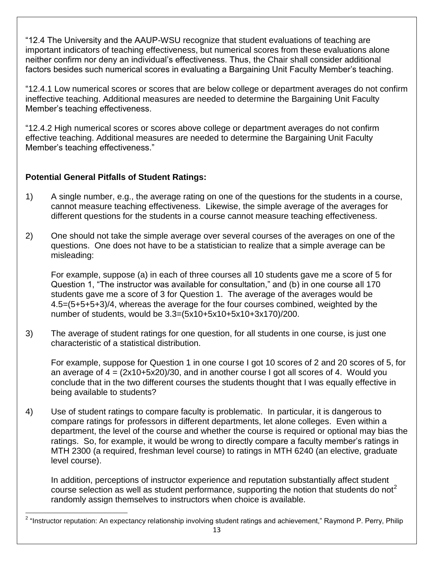"12.4 The University and the AAUP-WSU recognize that student evaluations of teaching are important indicators of teaching effectiveness, but numerical scores from these evaluations alone neither confirm nor deny an individual's effectiveness. Thus, the Chair shall consider additional factors besides such numerical scores in evaluating a Bargaining Unit Faculty Member's teaching.

"12.4.1 Low numerical scores or scores that are below college or department averages do not confirm ineffective teaching. Additional measures are needed to determine the Bargaining Unit Faculty Member's teaching effectiveness.

"12.4.2 High numerical scores or scores above college or department averages do not confirm effective teaching. Additional measures are needed to determine the Bargaining Unit Faculty Member's teaching effectiveness."

#### **Potential General Pitfalls of Student Ratings:**

- 1) A single number, e.g., the average rating on one of the questions for the students in a course, cannot measure teaching effectiveness. Likewise, the simple average of the averages for different questions for the students in a course cannot measure teaching effectiveness.
- 2) One should not take the simple average over several courses of the averages on one of the questions. One does not have to be a statistician to realize that a simple average can be misleading:

For example, suppose (a) in each of three courses all 10 students gave me a score of 5 for Question 1, "The instructor was available for consultation," and (b) in one course all 170 students gave me a score of 3 for Question 1. The average of the averages would be 4.5=(5+5+5+3)/4, whereas the average for the four courses combined, weighted by the number of students, would be 3.3=(5x10+5x10+5x10+3x170)/200.

3) The average of student ratings for one question, for all students in one course, is just one characteristic of a statistical distribution.

For example, suppose for Question 1 in one course I got 10 scores of 2 and 20 scores of 5, for an average of  $4 = (2x10+5x20)/30$ , and in another course I got all scores of 4. Would you conclude that in the two different courses the students thought that I was equally effective in being available to students?

4) Use of student ratings to compare faculty is problematic. In particular, it is dangerous to compare ratings for professors in different departments, let alone colleges. Even within a department, the level of the course and whether the course is required or optional may bias the ratings. So, for example, it would be wrong to directly compare a faculty member's ratings in MTH 2300 (a required, freshman level course) to ratings in MTH 6240 (an elective, graduate level course).

In addition, perceptions of instructor experience and reputation substantially affect student course selection as well as student performance, supporting the notion that students do not<sup>2</sup> randomly assign themselves to instructors when choice is available.

 $\overline{\phantom{a}}$ <sup>2</sup> "Instructor reputation: An expectancy relationship involving student ratings and achievement," Raymond P. Perry, Philip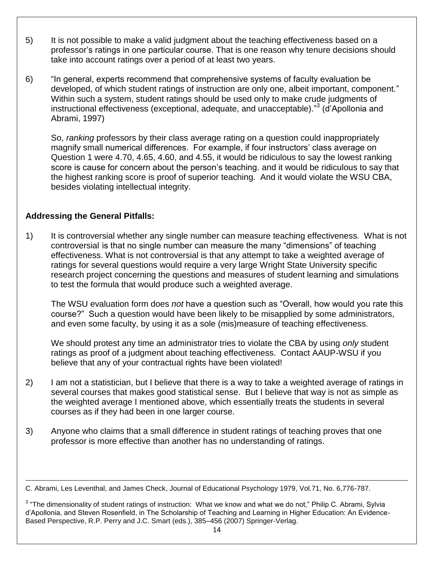- 5) It is not possible to make a valid judgment about the teaching effectiveness based on a professor's ratings in one particular course. That is one reason why tenure decisions should take into account ratings over a period of at least two years.
- 6) "In general, experts recommend that comprehensive systems of faculty evaluation be developed, of which student ratings of instruction are only one, albeit important, component." Within such a system, student ratings should be used only to make crude judgments of instructional effectiveness (exceptional, adequate, and unacceptable)."<sup>3</sup> (d'Apollonia and Abrami, 1997)

So, *ranking* professors by their class average rating on a question could inappropriately magnify small numerical differences. For example, if four instructors' class average on Question 1 were 4.70, 4.65, 4.60, and 4.55, it would be ridiculous to say the lowest ranking score is cause for concern about the person's teaching. and it would be ridiculous to say that the highest ranking score is proof of superior teaching. And it would violate the WSU CBA, besides violating intellectual integrity.

#### **Addressing the General Pitfalls:**

l

1) It is controversial whether any single number can measure teaching effectiveness. What is not controversial is that no single number can measure the many "dimensions" of teaching effectiveness. What is not controversial is that any attempt to take a weighted average of ratings for several questions would require a very large Wright State University specific research project concerning the questions and measures of student learning and simulations to test the formula that would produce such a weighted average.

The WSU evaluation form does *not* have a question such as "Overall, how would you rate this course?" Such a question would have been likely to be misapplied by some administrators, and even some faculty, by using it as a sole (mis)measure of teaching effectiveness.

We should protest any time an administrator tries to violate the CBA by using *only* student ratings as proof of a judgment about teaching effectiveness. Contact AAUP-WSU if you believe that any of your contractual rights have been violated!

- 2) I am not a statistician, but I believe that there is a way to take a weighted average of ratings in several courses that makes good statistical sense. But I believe that way is not as simple as the weighted average I mentioned above, which essentially treats the students in several courses as if they had been in one larger course.
- 3) Anyone who claims that a small difference in student ratings of teaching proves that one professor is more effective than another has no understanding of ratings.

C. Abrami, Les Leventhal, and James Check, Journal of Educational Psychology 1979, Vol.71, No. 6,776-787.

 $3$  "The dimensionality of student ratings of instruction: What we know and what we do not," Philip C. Abrami, Sylvia d'Apollonia, and Steven Rosenfield, in The Scholarship of Teaching and Learning in Higher Education: An Evidence-Based Perspective, R.P. Perry and J.C. Smart (eds.), 385–456 (2007) Springer-Verlag.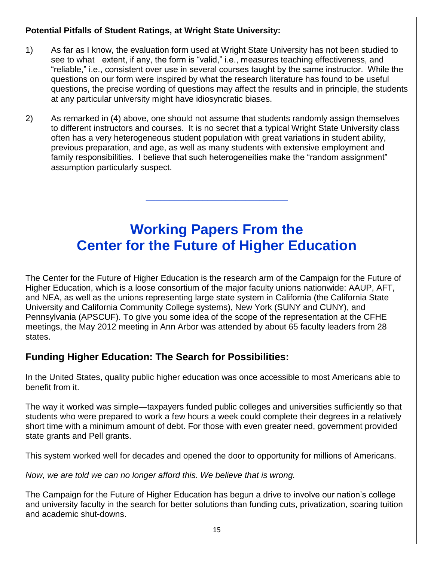#### **Potential Pitfalls of Student Ratings, at Wright State University:**

- 1) As far as I know, the evaluation form used at Wright State University has not been studied to see to what extent, if any, the form is "valid," i.e., measures teaching effectiveness, and "reliable," i.e., consistent over use in several courses taught by the same instructor. While the questions on our form were inspired by what the research literature has found to be useful questions, the precise wording of questions may affect the results and in principle, the students at any particular university might have idiosyncratic biases.
- 2) As remarked in (4) above, one should not assume that students randomly assign themselves to different instructors and courses. It is no secret that a typical Wright State University class often has a very heterogeneous student population with great variations in student ability, previous preparation, and age, as well as many students with extensive employment and family responsibilities. I believe that such heterogeneities make the "random assignment" assumption particularly suspect.

## **Working Papers From the Center for the Future of Higher Education**

\_\_\_\_\_\_\_\_\_\_\_\_\_\_\_\_\_\_\_\_\_\_\_\_\_\_\_\_\_\_

The Center for the Future of Higher Education is the research arm of the Campaign for the Future of Higher Education, which is a loose consortium of the major faculty unions nationwide: AAUP, AFT, and NEA, as well as the unions representing large state system in California (the California State University and California Community College systems), New York (SUNY and CUNY), and Pennsylvania (APSCUF). To give you some idea of the scope of the representation at the CFHE meetings, the May 2012 meeting in Ann Arbor was attended by about 65 faculty leaders from 28 states.

#### **Funding Higher Education: The Search for Possibilities:**

In the United States, quality public higher education was once accessible to most Americans able to benefit from it.

The way it worked was simple—taxpayers funded public colleges and universities sufficiently so that students who were prepared to work a few hours a week could complete their degrees in a relatively short time with a minimum amount of debt. For those with even greater need, government provided state grants and Pell grants.

This system worked well for decades and opened the door to opportunity for millions of Americans.

*Now, we are told we can no longer afford this. We believe that is wrong.*

The Campaign for the Future of Higher Education has begun a drive to involve our nation's college and university faculty in the search for better solutions than funding cuts, privatization, soaring tuition and academic shut-downs.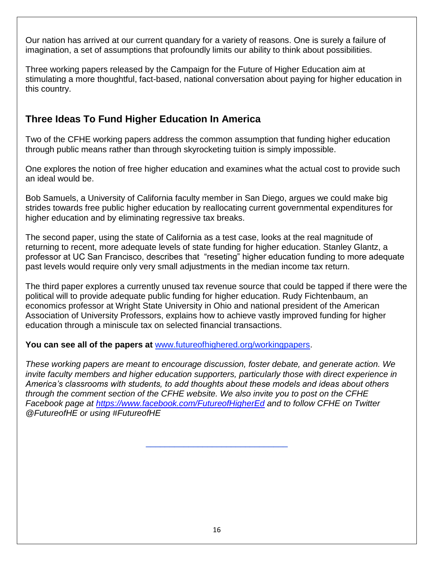Our nation has arrived at our current quandary for a variety of reasons. One is surely a failure of imagination, a set of assumptions that profoundly limits our ability to think about possibilities.

Three working papers released by the Campaign for the Future of Higher Education aim at stimulating a more thoughtful, fact-based, national conversation about paying for higher education in this country.

#### **Three Ideas To Fund Higher Education In America**

Two of the CFHE working papers address the common assumption that funding higher education through public means rather than through skyrocketing tuition is simply impossible.

One explores the notion of free higher education and examines what the actual cost to provide such an ideal would be.

Bob Samuels, a University of California faculty member in San Diego, argues we could make big strides towards free public higher education by reallocating current governmental expenditures for higher education and by eliminating regressive tax breaks.

The second paper, using the state of California as a test case, looks at the real magnitude of returning to recent, more adequate levels of state funding for higher education. Stanley Glantz, a professor at UC San Francisco, describes that "reseting" higher education funding to more adequate past levels would require only very small adjustments in the median income tax return.

The third paper explores a currently unused tax revenue source that could be tapped if there were the political will to provide adequate public funding for higher education. Rudy Fichtenbaum, an economics professor at Wright State University in Ohio and national president of the American Association of University Professors, explains how to achieve vastly improved funding for higher education through a miniscule tax on selected financial transactions.

#### **You can see all of the papers at** [www.futureofhighered.org/workingpapers.](http://www.futureofhighered.org/workingpapers)

*These working papers are meant to encourage discussion, foster debate, and generate action. We invite faculty members and higher education supporters, particularly those with direct experience in America's classrooms with students, to add thoughts about these models and ideas about others through the comment section of the CFHE website. We also invite you to post on the CFHE Facebook page at<https://www.facebook.com/FutureofHigherEd> and to follow CFHE on Twitter @FutureofHE or using #FutureofHE*

\_\_\_\_\_\_\_\_\_\_\_\_\_\_\_\_\_\_\_\_\_\_\_\_\_\_\_\_\_\_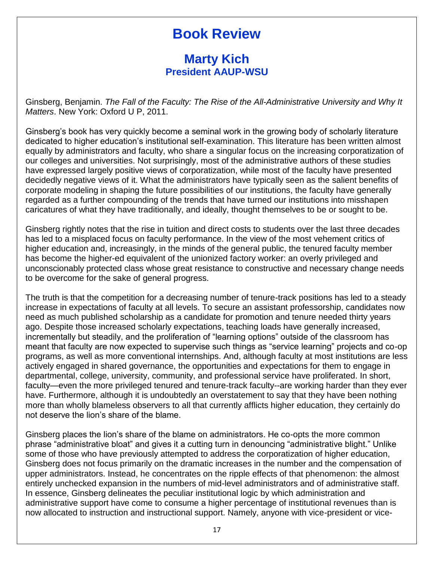## **Book Review**

#### **Marty Kich President AAUP-WSU**

Ginsberg, Benjamin. *The Fall of the Faculty: The Rise of the All-Administrative University and Why It Matters*. New York: Oxford U P, 2011.

Ginsberg's book has very quickly become a seminal work in the growing body of scholarly literature dedicated to higher education's institutional self-examination. This literature has been written almost equally by administrators and faculty, who share a singular focus on the increasing corporatization of our colleges and universities. Not surprisingly, most of the administrative authors of these studies have expressed largely positive views of corporatization, while most of the faculty have presented decidedly negative views of it. What the administrators have typically seen as the salient benefits of corporate modeling in shaping the future possibilities of our institutions, the faculty have generally regarded as a further compounding of the trends that have turned our institutions into misshapen caricatures of what they have traditionally, and ideally, thought themselves to be or sought to be.

Ginsberg rightly notes that the rise in tuition and direct costs to students over the last three decades has led to a misplaced focus on faculty performance. In the view of the most vehement critics of higher education and, increasingly, in the minds of the general public, the tenured faculty member has become the higher-ed equivalent of the unionized factory worker: an overly privileged and unconscionably protected class whose great resistance to constructive and necessary change needs to be overcome for the sake of general progress.

The truth is that the competition for a decreasing number of tenure-track positions has led to a steady increase in expectations of faculty at all levels. To secure an assistant professorship, candidates now need as much published scholarship as a candidate for promotion and tenure needed thirty years ago. Despite those increased scholarly expectations, teaching loads have generally increased, incrementally but steadily, and the proliferation of "learning options" outside of the classroom has meant that faculty are now expected to supervise such things as "service learning" projects and co-op programs, as well as more conventional internships. And, although faculty at most institutions are less actively engaged in shared governance, the opportunities and expectations for them to engage in departmental, college, university, community, and professional service have proliferated. In short, faculty—even the more privileged tenured and tenure-track faculty--are working harder than they ever have. Furthermore, although it is undoubtedly an overstatement to say that they have been nothing more than wholly blameless observers to all that currently afflicts higher education, they certainly do not deserve the lion's share of the blame.

Ginsberg places the lion's share of the blame on administrators. He co-opts the more common phrase "administrative bloat" and gives it a cutting turn in denouncing "administrative blight." Unlike some of those who have previously attempted to address the corporatization of higher education, Ginsberg does not focus primarily on the dramatic increases in the number and the compensation of upper administrators. Instead, he concentrates on the ripple effects of that phenomenon: the almost entirely unchecked expansion in the numbers of mid-level administrators and of administrative staff. In essence, Ginsberg delineates the peculiar institutional logic by which administration and administrative support have come to consume a higher percentage of institutional revenues than is now allocated to instruction and instructional support. Namely, anyone with vice-president or vice-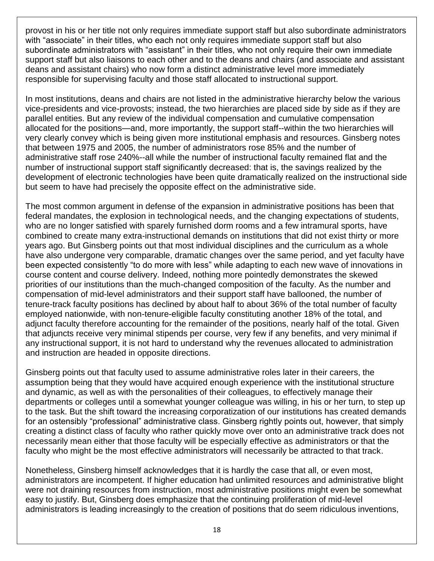provost in his or her title not only requires immediate support staff but also subordinate administrators with "associate" in their titles, who each not only requires immediate support staff but also subordinate administrators with "assistant" in their titles, who not only require their own immediate support staff but also liaisons to each other and to the deans and chairs (and associate and assistant deans and assistant chairs) who now form a distinct administrative level more immediately responsible for supervising faculty and those staff allocated to instructional support.

In most institutions, deans and chairs are not listed in the administrative hierarchy below the various vice-presidents and vice-provosts; instead, the two hierarchies are placed side by side as if they are parallel entities. But any review of the individual compensation and cumulative compensation allocated for the positions—and, more importantly, the support staff--within the two hierarchies will very clearly convey which is being given more institutional emphasis and resources. Ginsberg notes that between 1975 and 2005, the number of administrators rose 85% and the number of administrative staff rose 240%--all while the number of instructional faculty remained flat and the number of instructional support staff significantly decreased: that is, the savings realized by the development of electronic technologies have been quite dramatically realized on the instructional side but seem to have had precisely the opposite effect on the administrative side.

The most common argument in defense of the expansion in administrative positions has been that federal mandates, the explosion in technological needs, and the changing expectations of students, who are no longer satisfied with sparely furnished dorm rooms and a few intramural sports, have combined to create many extra-instructional demands on institutions that did not exist thirty or more years ago. But Ginsberg points out that most individual disciplines and the curriculum as a whole have also undergone very comparable, dramatic changes over the same period, and yet faculty have been expected consistently "to do more with less" while adapting to each new wave of innovations in course content and course delivery. Indeed, nothing more pointedly demonstrates the skewed priorities of our institutions than the much-changed composition of the faculty. As the number and compensation of mid-level administrators and their support staff have ballooned, the number of tenure-track faculty positions has declined by about half to about 36% of the total number of faculty employed nationwide, with non-tenure-eligible faculty constituting another 18% of the total, and adjunct faculty therefore accounting for the remainder of the positions, nearly half of the total. Given that adjuncts receive very minimal stipends per course, very few if any benefits, and very minimal if any instructional support, it is not hard to understand why the revenues allocated to administration and instruction are headed in opposite directions.

Ginsberg points out that faculty used to assume administrative roles later in their careers, the assumption being that they would have acquired enough experience with the institutional structure and dynamic, as well as with the personalities of their colleagues, to effectively manage their departments or colleges until a somewhat younger colleague was willing, in his or her turn, to step up to the task. But the shift toward the increasing corporatization of our institutions has created demands for an ostensibly "professional" administrative class. Ginsberg rightly points out, however, that simply creating a distinct class of faculty who rather quickly move over onto an administrative track does not necessarily mean either that those faculty will be especially effective as administrators or that the faculty who might be the most effective administrators will necessarily be attracted to that track.

Nonetheless, Ginsberg himself acknowledges that it is hardly the case that all, or even most, administrators are incompetent. If higher education had unlimited resources and administrative blight were not draining resources from instruction, most administrative positions might even be somewhat easy to justify. But, Ginsberg does emphasize that the continuing proliferation of mid-level administrators is leading increasingly to the creation of positions that do seem ridiculous inventions,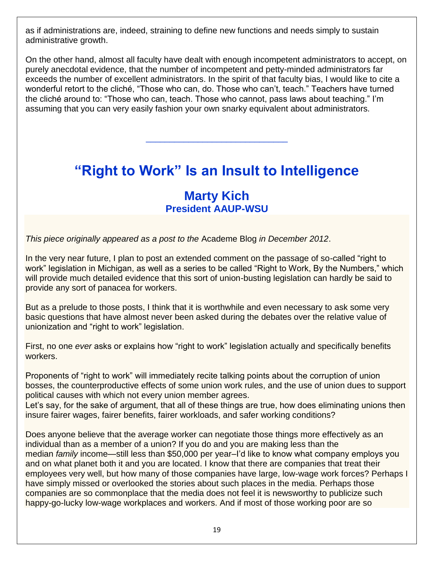as if administrations are, indeed, straining to define new functions and needs simply to sustain administrative growth.

On the other hand, almost all faculty have dealt with enough incompetent administrators to accept, on purely anecdotal evidence, that the number of incompetent and petty-minded administrators far exceeds the number of excellent administrators. In the spirit of that faculty bias, I would like to cite a wonderful retort to the cliché, "Those who can, do. Those who can't, teach." Teachers have turned the cliché around to: "Those who can, teach. Those who cannot, pass laws about teaching." I'm assuming that you can very easily fashion your own snarky equivalent about administrators.

## **"Right to Work" Is an Insult to Intelligence**

\_\_\_\_\_\_\_\_\_\_\_\_\_\_\_\_\_\_\_\_\_\_\_\_\_\_\_\_\_\_

#### **Marty Kich President AAUP-WSU**

*This piece originally appeared as a post to the* Academe Blog *in December 2012*.

In the very near future, I plan to post an extended comment on the passage of so-called "right to work" legislation in Michigan, as well as a series to be called "Right to Work, By the Numbers," which will provide much detailed evidence that this sort of union-busting legislation can hardly be said to provide any sort of panacea for workers.

But as a prelude to those posts, I think that it is worthwhile and even necessary to ask some very basic questions that have almost never been asked during the debates over the relative value of unionization and "right to work" legislation.

First, no one *ever* asks or explains how "right to work" legislation actually and specifically benefits workers.

Proponents of "right to work" will immediately recite talking points about the corruption of union bosses, the counterproductive effects of some union work rules, and the use of union dues to support political causes with which not every union member agrees.

Let's say, for the sake of argument, that all of these things are true, how does eliminating unions then insure fairer wages, fairer benefits, fairer workloads, and safer working conditions?

Does anyone believe that the average worker can negotiate those things more effectively as an individual than as a member of a union? If you do and you are making less than the median *family* income—still less than \$50,000 per year–I'd like to know what company employs you and on what planet both it and you are located. I know that there are companies that treat their employees very well, but how many of those companies have large, low-wage work forces? Perhaps I have simply missed or overlooked the stories about such places in the media. Perhaps those companies are so commonplace that the media does not feel it is newsworthy to publicize such happy-go-lucky low-wage workplaces and workers. And if most of those working poor are so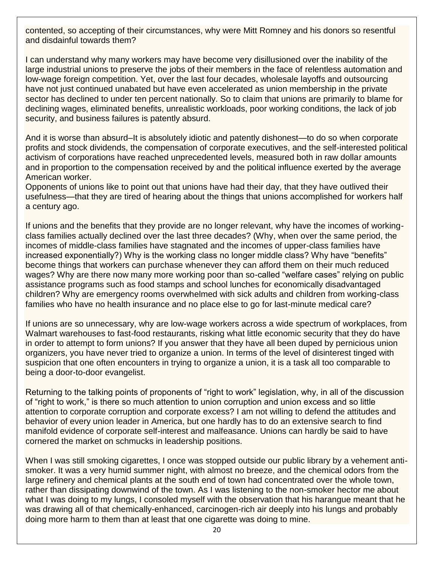contented, so accepting of their circumstances, why were Mitt Romney and his donors so resentful and disdainful towards them?

I can understand why many workers may have become very disillusioned over the inability of the large industrial unions to preserve the jobs of their members in the face of relentless automation and low-wage foreign competition. Yet, over the last four decades, wholesale layoffs and outsourcing have not just continued unabated but have even accelerated as union membership in the private sector has declined to under ten percent nationally. So to claim that unions are primarily to blame for declining wages, eliminated benefits, unrealistic workloads, poor working conditions, the lack of job security, and business failures is patently absurd.

And it is worse than absurd–It is absolutely idiotic and patently dishonest—to do so when corporate profits and stock dividends, the compensation of corporate executives, and the self-interested political activism of corporations have reached unprecedented levels, measured both in raw dollar amounts and in proportion to the compensation received by and the political influence exerted by the average American worker.

Opponents of unions like to point out that unions have had their day, that they have outlived their usefulness—that they are tired of hearing about the things that unions accomplished for workers half a century ago.

If unions and the benefits that they provide are no longer relevant, why have the incomes of workingclass families actually declined over the last three decades? (Why, when over the same period, the incomes of middle-class families have stagnated and the incomes of upper-class families have increased exponentially?) Why is the working class no longer middle class? Why have "benefits" become things that workers can purchase whenever they can afford them on their much reduced wages? Why are there now many more working poor than so-called "welfare cases" relying on public assistance programs such as food stamps and school lunches for economically disadvantaged children? Why are emergency rooms overwhelmed with sick adults and children from working-class families who have no health insurance and no place else to go for last-minute medical care?

If unions are so unnecessary, why are low-wage workers across a wide spectrum of workplaces, from Walmart warehouses to fast-food restaurants, risking what little economic security that they do have in order to attempt to form unions? If you answer that they have all been duped by pernicious union organizers, you have never tried to organize a union. In terms of the level of disinterest tinged with suspicion that one often encounters in trying to organize a union, it is a task all too comparable to being a door-to-door evangelist.

Returning to the talking points of proponents of "right to work" legislation, why, in all of the discussion of "right to work," is there so much attention to union corruption and union excess and so little attention to corporate corruption and corporate excess? I am not willing to defend the attitudes and behavior of every union leader in America, but one hardly has to do an extensive search to find manifold evidence of corporate self-interest and malfeasance. Unions can hardly be said to have cornered the market on schmucks in leadership positions.

When I was still smoking cigarettes, I once was stopped outside our public library by a vehement antismoker. It was a very humid summer night, with almost no breeze, and the chemical odors from the large refinery and chemical plants at the south end of town had concentrated over the whole town, rather than dissipating downwind of the town. As I was listening to the non-smoker hector me about what I was doing to my lungs, I consoled myself with the observation that his harangue meant that he was drawing all of that chemically-enhanced, carcinogen-rich air deeply into his lungs and probably doing more harm to them than at least that one cigarette was doing to mine.